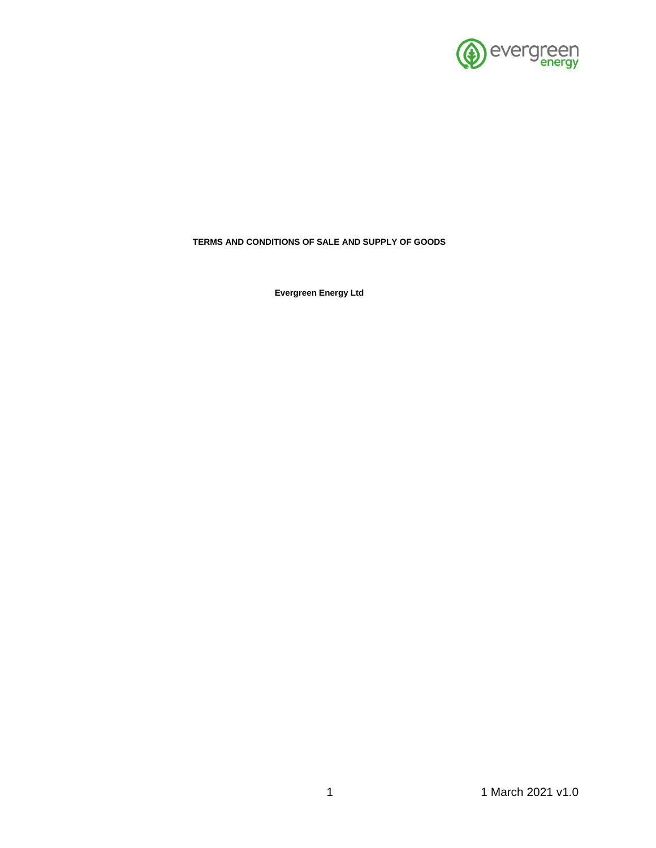

# **TERMS AND CONDITIONS OF SALE AND SUPPLY OF GOODS**

**Evergreen Energy Ltd**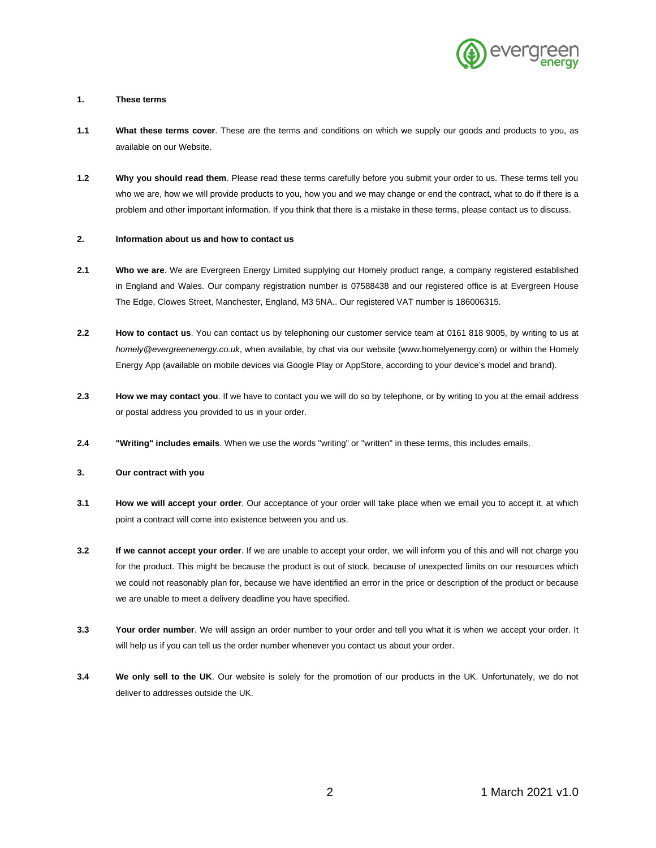

# **1. These terms**

- **1.1 What these terms cover**. These are the terms and conditions on which we supply our goods and products to you, as available on our Website.
- **1.2 Why you should read them**. Please read these terms carefully before you submit your order to us. These terms tell you who we are, how we will provide products to you, how you and we may change or end the contract, what to do if there is a problem and other important information. If you think that there is a mistake in these terms, please contact us to discuss.

### **2. Information about us and how to contact us**

- **2.1 Who we are**. We are Evergreen Energy Limited supplying our Homely product range, a company registered established in England and Wales. Our company registration number is 07588438 and our registered office is at Evergreen House The Edge, Clowes Street, Manchester, England, M3 5NA.. Our registered VAT number is 186006315.
- **2.2 How to contact us**. You can contact us by telephoning our customer service team at 0161 818 9005, by writing to us at *homely@evergreenenergy.co.uk*, when available, by chat via our website (www.homelyenergy.com) or within the Homely Energy App (available on mobile devices via Google Play or AppStore, according to your device's model and brand).
- **2.3 How we may contact you**. If we have to contact you we will do so by telephone, or by writing to you at the email address or postal address you provided to us in your order.
- **2.4 "Writing" includes emails**. When we use the words "writing" or "written" in these terms, this includes emails.

# **3. Our contract with you**

- **3.1 How we will accept your order**. Our acceptance of your order will take place when we email you to accept it, at which point a contract will come into existence between you and us.
- **3.2 If we cannot accept your order**. If we are unable to accept your order, we will inform you of this and will not charge you for the product. This might be because the product is out of stock, because of unexpected limits on our resources which we could not reasonably plan for, because we have identified an error in the price or description of the product or because we are unable to meet a delivery deadline you have specified.
- **3.3 Your order number**. We will assign an order number to your order and tell you what it is when we accept your order. It will help us if you can tell us the order number whenever you contact us about your order.
- **3.4 We only sell to the UK**. Our website is solely for the promotion of our products in the UK. Unfortunately, we do not deliver to addresses outside the UK.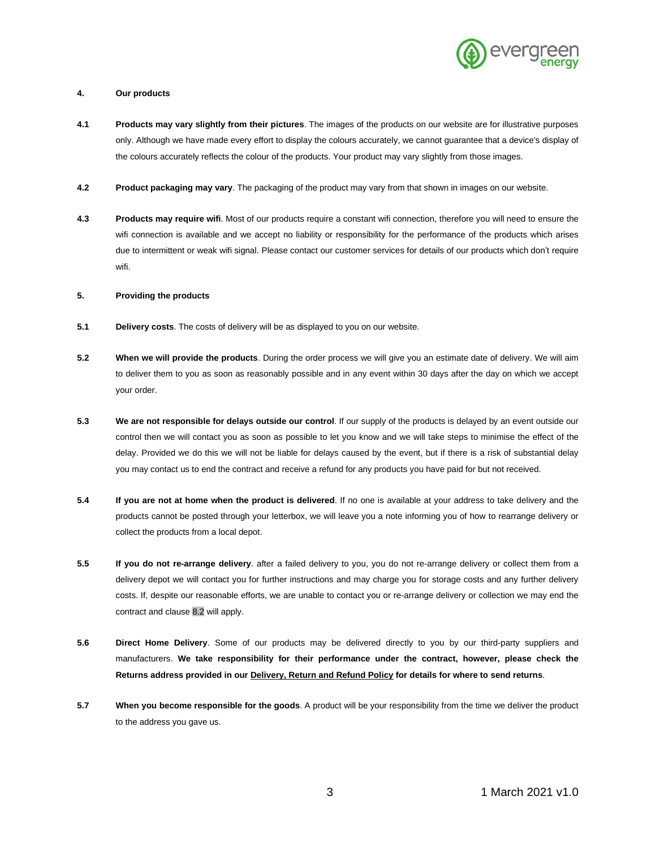

# **4. Our products**

- **4.1 Products may vary slightly from their pictures**. The images of the products on our website are for illustrative purposes only. Although we have made every effort to display the colours accurately, we cannot guarantee that a device's display of the colours accurately reflects the colour of the products. Your product may vary slightly from those images.
- **4.2 Product packaging may vary**. The packaging of the product may vary from that shown in images on our website.
- **4.3 Products may require wifi**. Most of our products require a constant wifi connection, therefore you will need to ensure the wifi connection is available and we accept no liability or responsibility for the performance of the products which arises due to intermittent or weak wifi signal. Please contact our customer services for details of our products which don't require wifi.

# **5. Providing the products**

- **5.1 Delivery costs**. The costs of delivery will be as displayed to you on our website.
- **5.2 When we will provide the products**. During the order process we will give you an estimate date of delivery. We will aim to deliver them to you as soon as reasonably possible and in any event within 30 days after the day on which we accept your order.
- **5.3 We are not responsible for delays outside our control**. If our supply of the products is delayed by an event outside our control then we will contact you as soon as possible to let you know and we will take steps to minimise the effect of the delay. Provided we do this we will not be liable for delays caused by the event, but if there is a risk of substantial delay you may contact us to end the contract and receive a refund for any products you have paid for but not received.
- **5.4 If you are not at home when the product is delivered**. If no one is available at your address to take delivery and the products cannot be posted through your letterbox, we will leave you a note informing you of how to rearrange delivery or collect the products from a local depot.
- **5.5 If you do not re-arrange delivery**. after a failed delivery to you, you do not re-arrange delivery or collect them from a delivery depot we will contact you for further instructions and may charge you for storage costs and any further delivery costs. If, despite our reasonable efforts, we are unable to contact you or re-arrange delivery or collection we may end the contract an[d clause 8.2](#page-6-0) will apply.
- **5.6 Direct Home Delivery**. Some of our products may be delivered directly to you by our third-party suppliers and manufacturers. **We take responsibility for their performance under the contract, however, please check the Returns address provided in our Delivery, Return and Refund Policy for details for where to send returns**.
- **5.7 When you become responsible for the goods**. A product will be your responsibility from the time we deliver the product to the address you gave us.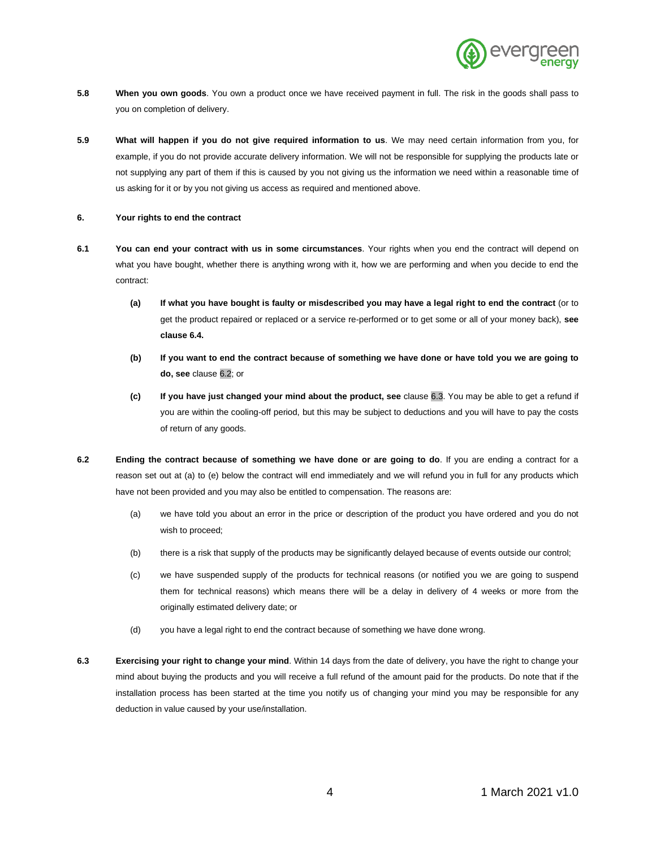

- **5.8 When you own goods**. You own a product once we have received payment in full. The risk in the goods shall pass to you on completion of delivery.
- **5.9 What will happen if you do not give required information to us**. We may need certain information from you, for example, if you do not provide accurate delivery information. We will not be responsible for supplying the products late or not supplying any part of them if this is caused by you not giving us the information we need within a reasonable time of us asking for it or by you not giving us access as required and mentioned above.

### **6. Your rights to end the contract**

- **6.1 You can end your contract with us in some circumstances**. Your rights when you end the contract will depend on what you have bought, whether there is anything wrong with it, how we are performing and when you decide to end the contract:
	- **(a) If what you have bought is faulty or misdescribed you may have a legal right to end the contract** (or to get the product repaired or replaced or a service re-performed or to get some or all of your money back), **see clause [6.4.](#page-4-0)**
	- **(b) If you want to end the contract because of something we have done or have told you we are going to do, see** [clause 6.2;](#page-3-0) or
	- **(c) If you have just changed your mind about the product, see** [clause 6.3.](#page-3-1) You may be able to get a refund if you are within the cooling-off period, but this may be subject to deductions and you will have to pay the costs of return of any goods.
- <span id="page-3-0"></span>**6.2 Ending the contract because of something we have done or are going to do**. If you are ending a contract for a reason set out at (a) to (e) below the contract will end immediately and we will refund you in full for any products which have not been provided and you may also be entitled to compensation. The reasons are:
	- (a) we have told you about an error in the price or description of the product you have ordered and you do not wish to proceed;
	- (b) there is a risk that supply of the products may be significantly delayed because of events outside our control;
	- (c) we have suspended supply of the products for technical reasons (or notified you we are going to suspend them for technical reasons) which means there will be a delay in delivery of 4 weeks or more from the originally estimated delivery date; or
	- (d) you have a legal right to end the contract because of something we have done wrong.
- <span id="page-3-1"></span>**6.3 Exercising your right to change your mind**. Within 14 days from the date of delivery, you have the right to change your mind about buying the products and you will receive a full refund of the amount paid for the products. Do note that if the installation process has been started at the time you notify us of changing your mind you may be responsible for any deduction in value caused by your use/installation.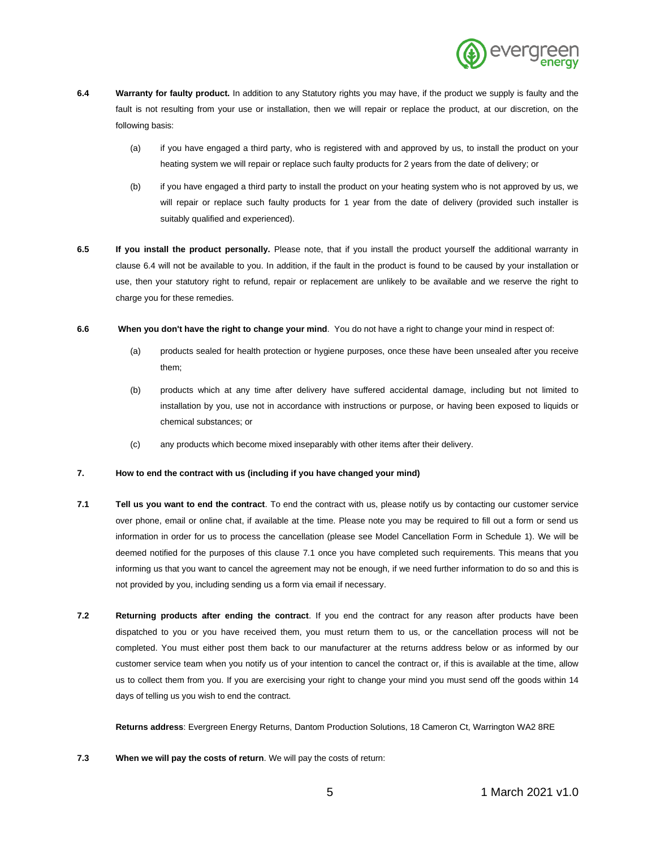

- <span id="page-4-0"></span>**6.4 Warranty for faulty product.** In addition to any Statutory rights you may have, if the product we supply is faulty and the fault is not resulting from your use or installation, then we will repair or replace the product, at our discretion, on the following basis:
	- (a) if you have engaged a third party, who is registered with and approved by us, to install the product on your heating system we will repair or replace such faulty products for 2 years from the date of delivery; or
	- (b) if you have engaged a third party to install the product on your heating system who is not approved by us, we will repair or replace such faulty products for 1 year from the date of delivery (provided such installer is suitably qualified and experienced).
- **6.5 If you install the product personally.** Please note, that if you install the product yourself the additional warranty in clause [6.4](#page-4-0) will not be available to you. In addition, if the fault in the product is found to be caused by your installation or use, then your statutory right to refund, repair or replacement are unlikely to be available and we reserve the right to charge you for these remedies.
- **6.6 When you don't have the right to change your mind**. You do not have a right to change your mind in respect of:
	- (a) products sealed for health protection or hygiene purposes, once these have been unsealed after you receive them;
	- (b) products which at any time after delivery have suffered accidental damage, including but not limited to installation by you, use not in accordance with instructions or purpose, or having been exposed to liquids or chemical substances; or
	- (c) any products which become mixed inseparably with other items after their delivery.

# **7. How to end the contract with us (including if you have changed your mind)**

- <span id="page-4-1"></span>**7.1 Tell us you want to end the contract**. To end the contract with us, please notify us by contacting our customer service over phone, email or online chat, if available at the time. Please note you may be required to fill out a form or send us information in order for us to process the cancellation (please see Model Cancellation Form in Schedule 1). We will be deemed notified for the purposes of this clause [7.1](#page-4-1) once you have completed such requirements. This means that you informing us that you want to cancel the agreement may not be enough, if we need further information to do so and this is not provided by you, including sending us a form via email if necessary.
- **7.2 Returning products after ending the contract**. If you end the contract for any reason after products have been dispatched to you or you have received them, you must return them to us, or the cancellation process will not be completed. You must either post them back to our manufacturer at the returns address below or as informed by our customer service team when you notify us of your intention to cancel the contract or, if this is available at the time, allow us to collect them from you. If you are exercising your right to change your mind you must send off the goods within 14 days of telling us you wish to end the contract.

**Returns address**: Evergreen Energy Returns, Dantom Production Solutions, 18 Cameron Ct, Warrington WA2 8RE

<span id="page-4-2"></span>**7.3 When we will pay the costs of return**. We will pay the costs of return: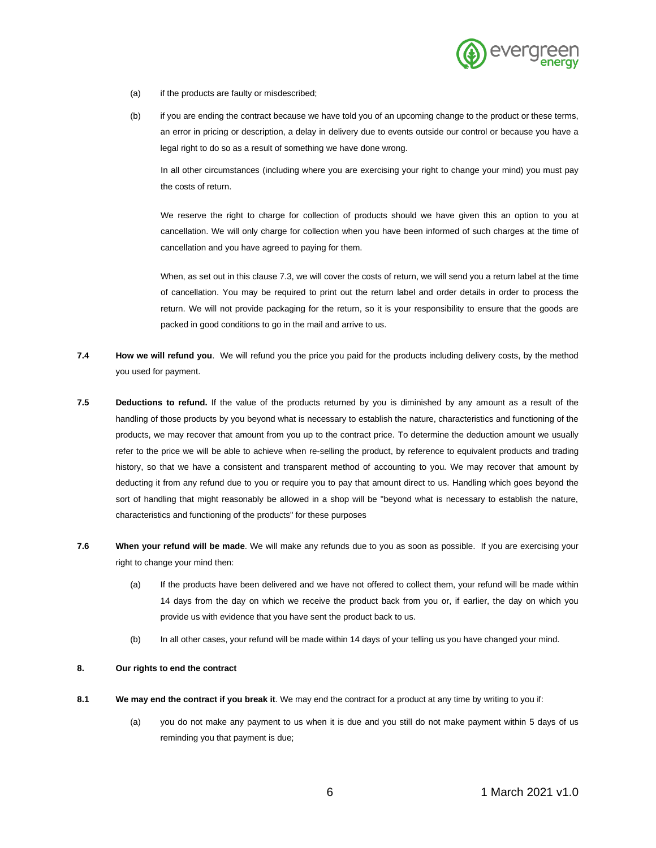

- (a) if the products are faulty or misdescribed;
- (b) if you are ending the contract because we have told you of an upcoming change to the product or these terms, an error in pricing or description, a delay in delivery due to events outside our control or because you have a legal right to do so as a result of something we have done wrong.

In all other circumstances (including where you are exercising your right to change your mind) you must pay the costs of return.

We reserve the right to charge for collection of products should we have given this an option to you at cancellation. We will only charge for collection when you have been informed of such charges at the time of cancellation and you have agreed to paying for them.

When, as set out in this clause [7.3,](#page-4-2) we will cover the costs of return, we will send you a return label at the time of cancellation. You may be required to print out the return label and order details in order to process the return. We will not provide packaging for the return, so it is your responsibility to ensure that the goods are packed in good conditions to go in the mail and arrive to us.

- **7.4 How we will refund you**. We will refund you the price you paid for the products including delivery costs, by the method you used for payment.
- **7.5 Deductions to refund.** If the value of the products returned by you is diminished by any amount as a result of the handling of those products by you beyond what is necessary to establish the nature, characteristics and functioning of the products, we may recover that amount from you up to the contract price. To determine the deduction amount we usually refer to the price we will be able to achieve when re-selling the product, by reference to equivalent products and trading history, so that we have a consistent and transparent method of accounting to you. We may recover that amount by deducting it from any refund due to you or require you to pay that amount direct to us. Handling which goes beyond the sort of handling that might reasonably be allowed in a shop will be "beyond what is necessary to establish the nature, characteristics and functioning of the products" for these purposes
- **7.6 When your refund will be made**. We will make any refunds due to you as soon as possible. If you are exercising your right to change your mind then:
	- (a) If the products have been delivered and we have not offered to collect them, your refund will be made within 14 days from the day on which we receive the product back from you or, if earlier, the day on which you provide us with evidence that you have sent the product back to us.
	- (b) In all other cases, your refund will be made within 14 days of your telling us you have changed your mind.

# **8. Our rights to end the contract**

- <span id="page-5-0"></span>**8.1 We may end the contract if you break it**. We may end the contract for a product at any time by writing to you if:
	- (a) you do not make any payment to us when it is due and you still do not make payment within 5 days of us reminding you that payment is due;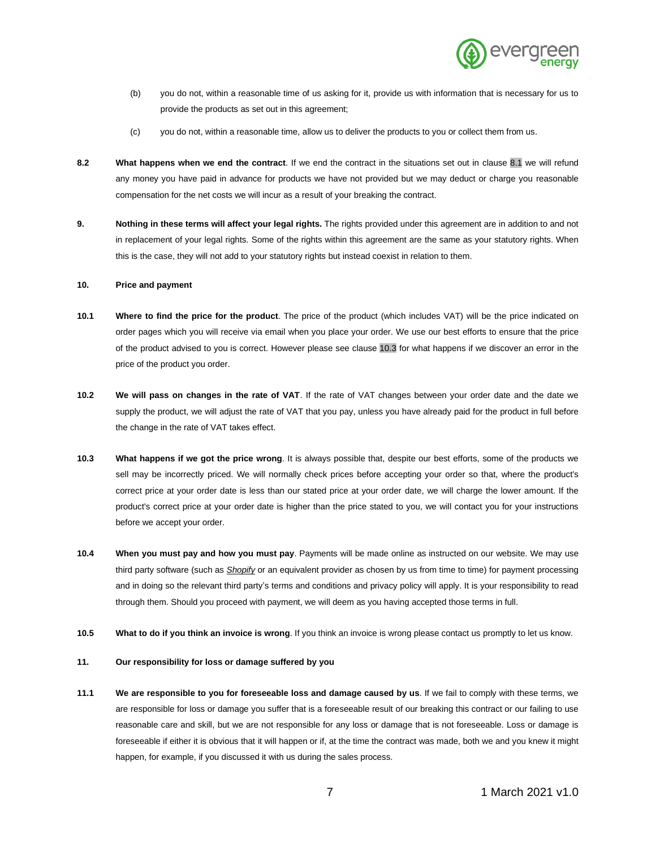

- (b) you do not, within a reasonable time of us asking for it, provide us with information that is necessary for us to provide the products as set out in this agreement;
- (c) you do not, within a reasonable time, allow us to deliver the products to you or collect them from us.
- <span id="page-6-0"></span>**8.2 What happens when we end the contract**. If we end the contract in the situations set out in [clause 8.1](#page-5-0) we will refund any money you have paid in advance for products we have not provided but we may deduct or charge you reasonable compensation for the net costs we will incur as a result of your breaking the contract.
- **9. Nothing in these terms will affect your legal rights.** The rights provided under this agreement are in addition to and not in replacement of your legal rights. Some of the rights within this agreement are the same as your statutory rights. When this is the case, they will not add to your statutory rights but instead coexist in relation to them.

#### **10. Price and payment**

- **10.1 Where to find the price for the product**. The price of the product (which includes VAT) will be the price indicated on order pages which you will receive via email when you place your order. We use our best efforts to ensure that the price of the product advised to you is correct. However please se[e clause 10.3](#page-6-1) for what happens if we discover an error in the price of the product you order.
- **10.2 We will pass on changes in the rate of VAT**. If the rate of VAT changes between your order date and the date we supply the product, we will adjust the rate of VAT that you pay, unless you have already paid for the product in full before the change in the rate of VAT takes effect.
- <span id="page-6-1"></span>**10.3 What happens if we got the price wrong**. It is always possible that, despite our best efforts, some of the products we sell may be incorrectly priced. We will normally check prices before accepting your order so that, where the product's correct price at your order date is less than our stated price at your order date, we will charge the lower amount. If the product's correct price at your order date is higher than the price stated to you, we will contact you for your instructions before we accept your order.
- **10.4 When you must pay and how you must pay**. Payments will be made online as instructed on our website. We may use third party software (such as *[Shopify](https://www.shopify.co.uk/)* or an equivalent provider as chosen by us from time to time) for payment processing and in doing so the relevant third party's terms and conditions and privacy policy will apply. It is your responsibility to read through them. Should you proceed with payment, we will deem as you having accepted those terms in full.
- **10.5** What to do if you think an invoice is wrong. If you think an invoice is wrong please contact us promptly to let us know.

### **11. Our responsibility for loss or damage suffered by you**

**11.1 We are responsible to you for foreseeable loss and damage caused by us**. If we fail to comply with these terms, we are responsible for loss or damage you suffer that is a foreseeable result of our breaking this contract or our failing to use reasonable care and skill, but we are not responsible for any loss or damage that is not foreseeable. Loss or damage is foreseeable if either it is obvious that it will happen or if, at the time the contract was made, both we and you knew it might happen, for example, if you discussed it with us during the sales process.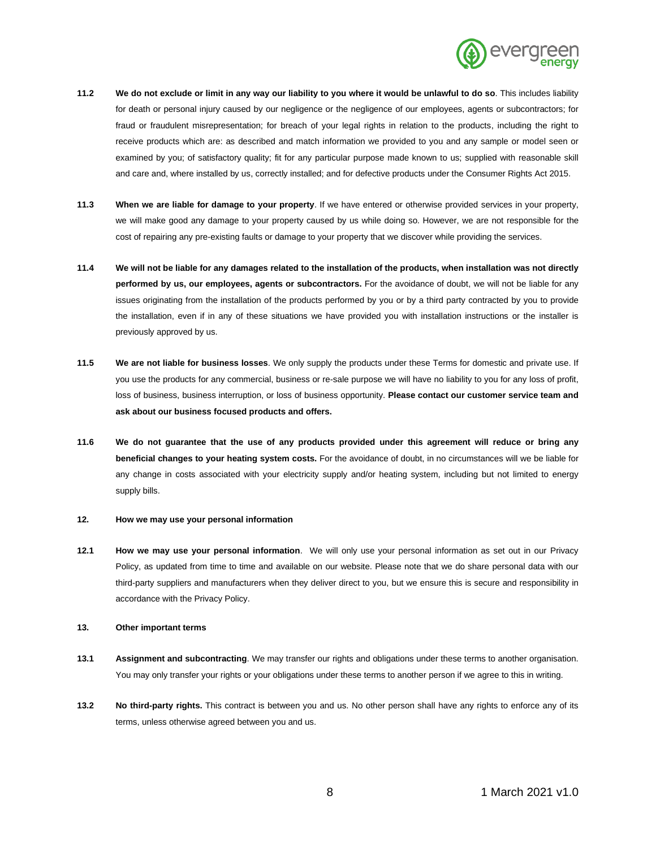

- **11.2 We do not exclude or limit in any way our liability to you where it would be unlawful to do so**. This includes liability for death or personal injury caused by our negligence or the negligence of our employees, agents or subcontractors; for fraud or fraudulent misrepresentation; for breach of your legal rights in relation to the products, including the right to receive products which are: as described and match information we provided to you and any sample or model seen or examined by you; of satisfactory quality; fit for any particular purpose made known to us; supplied with reasonable skill and care and, where installed by us, correctly installed; and for defective products under the Consumer Rights Act 2015.
- **11.3 When we are liable for damage to your property**. If we have entered or otherwise provided services in your property, we will make good any damage to your property caused by us while doing so. However, we are not responsible for the cost of repairing any pre-existing faults or damage to your property that we discover while providing the services.
- **11.4 We will not be liable for any damages related to the installation of the products, when installation was not directly performed by us, our employees, agents or subcontractors.** For the avoidance of doubt, we will not be liable for any issues originating from the installation of the products performed by you or by a third party contracted by you to provide the installation, even if in any of these situations we have provided you with installation instructions or the installer is previously approved by us.
- **11.5 We are not liable for business losses**. We only supply the products under these Terms for domestic and private use. If you use the products for any commercial, business or re-sale purpose we will have no liability to you for any loss of profit, loss of business, business interruption, or loss of business opportunity. **Please contact our customer service team and ask about our business focused products and offers.**
- **11.6 We do not guarantee that the use of any products provided under this agreement will reduce or bring any beneficial changes to your heating system costs.** For the avoidance of doubt, in no circumstances will we be liable for any change in costs associated with your electricity supply and/or heating system, including but not limited to energy supply bills.

### **12. How we may use your personal information**

**12.1 How we may use your personal information**. We will only use your personal information as set out in our Privacy Policy, as updated from time to time and available on our website. Please note that we do share personal data with our third-party suppliers and manufacturers when they deliver direct to you, but we ensure this is secure and responsibility in accordance with the Privacy Policy.

### **13. Other important terms**

- **13.1 Assignment and subcontracting**. We may transfer our rights and obligations under these terms to another organisation. You may only transfer your rights or your obligations under these terms to another person if we agree to this in writing.
- **13.2 No third-party rights.** This contract is between you and us. No other person shall have any rights to enforce any of its terms, unless otherwise agreed between you and us.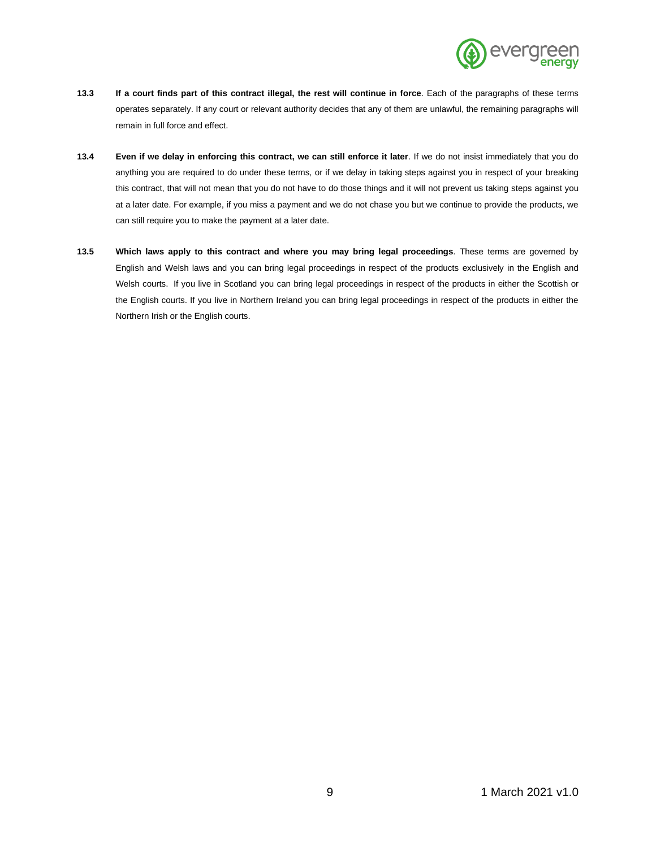

- **13.3 If a court finds part of this contract illegal, the rest will continue in force**. Each of the paragraphs of these terms operates separately. If any court or relevant authority decides that any of them are unlawful, the remaining paragraphs will remain in full force and effect.
- **13.4 Even if we delay in enforcing this contract, we can still enforce it later**. If we do not insist immediately that you do anything you are required to do under these terms, or if we delay in taking steps against you in respect of your breaking this contract, that will not mean that you do not have to do those things and it will not prevent us taking steps against you at a later date. For example, if you miss a payment and we do not chase you but we continue to provide the products, we can still require you to make the payment at a later date.
- **13.5 Which laws apply to this contract and where you may bring legal proceedings**. These terms are governed by English and Welsh laws and you can bring legal proceedings in respect of the products exclusively in the English and Welsh courts. If you live in Scotland you can bring legal proceedings in respect of the products in either the Scottish or the English courts. If you live in Northern Ireland you can bring legal proceedings in respect of the products in either the Northern Irish or the English courts.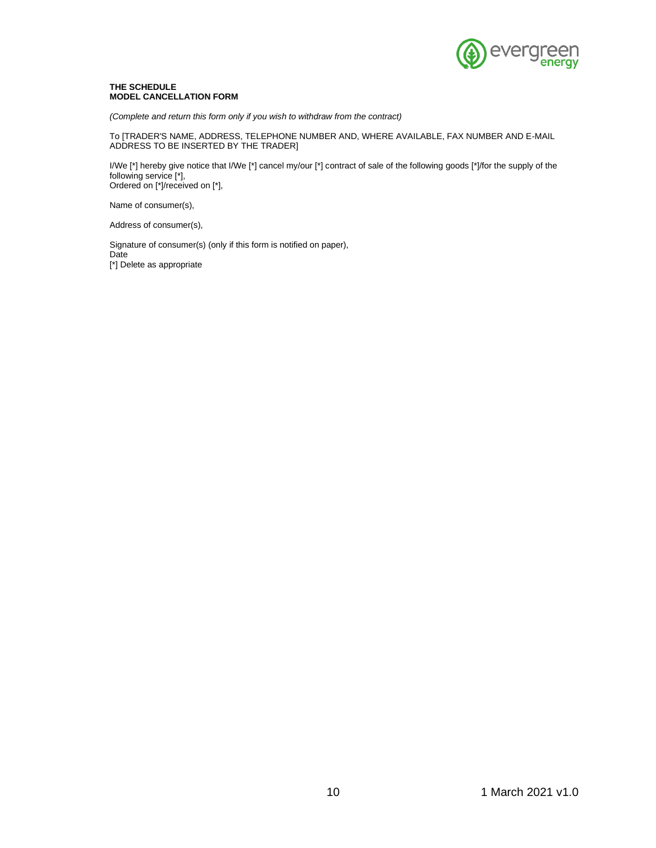

# **THE SCHEDULE MODEL CANCELLATION FORM**

*(Complete and return this form only if you wish to withdraw from the contract)*

To [TRADER'S NAME, ADDRESS, TELEPHONE NUMBER AND, WHERE AVAILABLE, FAX NUMBER AND E-MAIL ADDRESS TO BE INSERTED BY THE TRADER]

I/We [\*] hereby give notice that I/We [\*] cancel my/our [\*] contract of sale of the following goods [\*]/for the supply of the following service [\*], Ordered on [\*]/received on [\*],

Name of consumer(s),

Address of consumer(s),

Signature of consumer(s) (only if this form is notified on paper), Date [\*] Delete as appropriate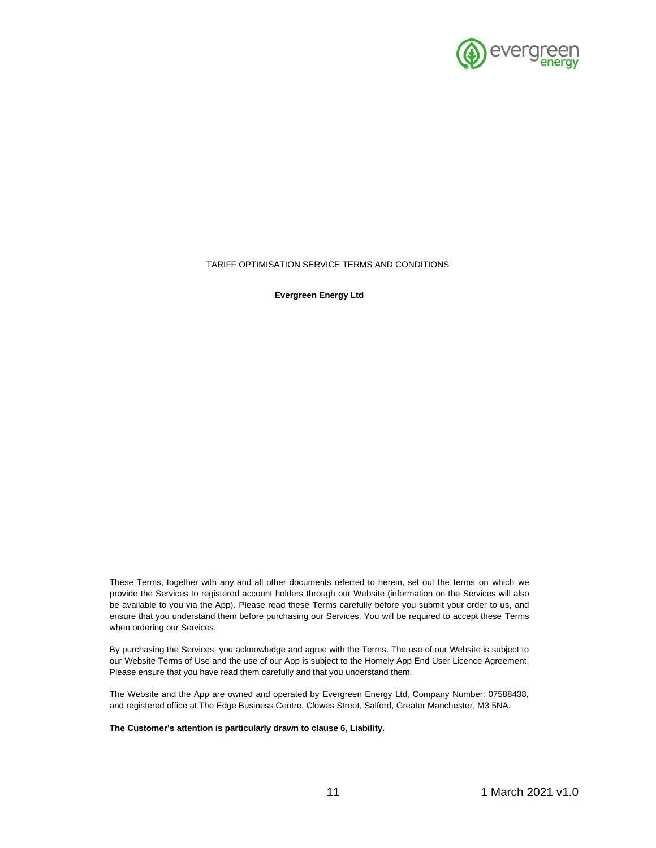

TARIFF OPTIMISATION SERVICE TERMS AND CONDITIONS

**Evergreen Energy Ltd**

These Terms, together with any and all other documents referred to herein, set out the terms on which we provide the Services to registered account holders through our Website (information on the Services will also be available to you via the App). Please read these Terms carefully before you submit your order to us, and ensure that you understand them before purchasing our Services. You will be required to accept these Terms when ordering our Services.

By purchasing the Services, you acknowledge and agree with the Terms. The use of our Website is subject to our Website Terms of Use and the use of our App is subject to the Homely App End User Licence Agreement. Please ensure that you have read them carefully and that you understand them.

The Website and the App are owned and operated by Evergreen Energy Ltd, Company Number: 07588438, and registered office at The Edge Business Centre, Clowes Street, Salford, Greater Manchester, M3 5NA.

**The Customer's attention is particularly drawn to clause 6, Liability.**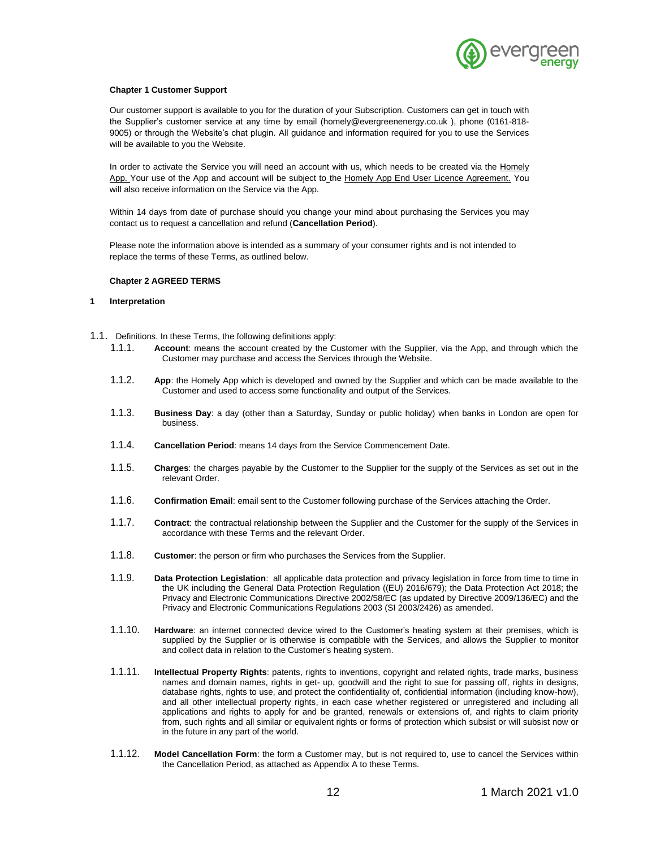

### **Chapter 1 Customer Support**

Our customer support is available to you for the duration of your Subscription. Customers can get in touch with the Supplier's customer service at any time by email (homely@evergreenenergy.co.uk ), phone (0161-818- 9005) or through the Website's chat plugin. All guidance and information required for you to use the Services will be available to you the Website.

In order to activate the Service you will need an account with us, which needs to be created via the Homely App. Your use of the App and account will be subject to the Homely App End User Licence Agreement. You will also receive information on the Service via the App.

Within 14 days from date of purchase should you change your mind about purchasing the Services you may contact us to request a cancellation and refund (**Cancellation Period**).

Please note the information above is intended as a summary of your consumer rights and is not intended to replace the terms of these Terms, as outlined below.

### **Chapter 2 AGREED TERMS**

### **1 Interpretation**

- 1.1. Definitions. In these Terms, the following definitions apply:
	- 1.1.1. **Account**: means the account created by the Customer with the Supplier, via the App, and through which the Customer may purchase and access the Services through the Website.
	- 1.1.2. **App**: the Homely App which is developed and owned by the Supplier and which can be made available to the Customer and used to access some functionality and output of the Services.
	- 1.1.3. **Business Day**: a day (other than a Saturday, Sunday or public holiday) when banks in London are open for business.
	- 1.1.4. **Cancellation Period**: means 14 days from the Service Commencement Date.
	- 1.1.5. **Charges**: the charges payable by the Customer to the Supplier for the supply of the Services as set out in the relevant Order.
	- 1.1.6. **Confirmation Email**: email sent to the Customer following purchase of the Services attaching the Order.
	- 1.1.7. **Contract**: the contractual relationship between the Supplier and the Customer for the supply of the Services in accordance with these Terms and the relevant Order.
	- 1.1.8. **Customer**: the person or firm who purchases the Services from the Supplier.
	- 1.1.9. **Data Protection Legislation**: all applicable data protection and privacy legislation in force from time to time in the UK including the General Data Protection Regulation ((EU) 2016/679); the Data Protection Act 2018; the Privacy and Electronic Communications Directive 2002/58/EC (as updated by Directive 2009/136/EC) and the Privacy and Electronic Communications Regulations 2003 (SI 2003/2426) as amended.
	- 1.1.10. **Hardware**: an internet connected device wired to the Customer's heating system at their premises, which is supplied by the Supplier or is otherwise is compatible with the Services, and allows the Supplier to monitor and collect data in relation to the Customer's heating system.
	- 1.1.11. **Intellectual Property Rights**: patents, rights to inventions, copyright and related rights, trade marks, business names and domain names, rights in get- up, goodwill and the right to sue for passing off, rights in designs, database rights, rights to use, and protect the confidentiality of, confidential information (including know-how), and all other intellectual property rights, in each case whether registered or unregistered and including all applications and rights to apply for and be granted, renewals or extensions of, and rights to claim priority from, such rights and all similar or equivalent rights or forms of protection which subsist or will subsist now or in the future in any part of the world.
	- 1.1.12. **Model Cancellation Form**: the form a Customer may, but is not required to, use to cancel the Services within the Cancellation Period, as attached as Appendix A to these Terms.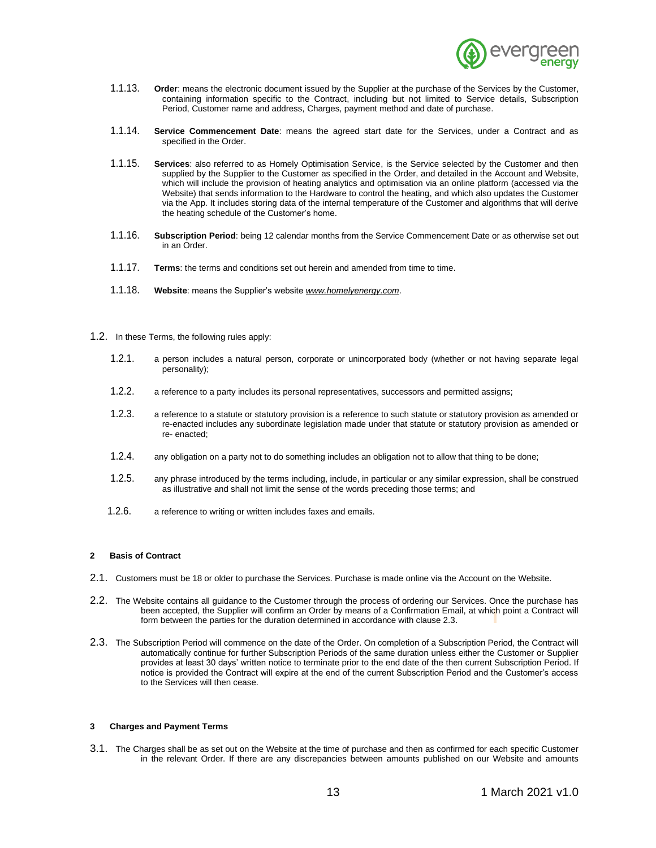

- 1.1.13. **Order**: means the electronic document issued by the Supplier at the purchase of the Services by the Customer, containing information specific to the Contract, including but not limited to Service details, Subscription Period, Customer name and address, Charges, payment method and date of purchase.
- 1.1.14. **Service Commencement Date**: means the agreed start date for the Services, under a Contract and as specified in the Order.
- 1.1.15. **Services**: also referred to as Homely Optimisation Service, is the Service selected by the Customer and then supplied by the Supplier to the Customer as specified in the Order, and detailed in the Account and Website, which will include the provision of heating analytics and optimisation via an online platform (accessed via the Website) that sends information to the Hardware to control the heating, and which also updates the Customer via the App. It includes storing data of the internal temperature of the Customer and algorithms that will derive the heating schedule of the Customer's home.
- 1.1.16. **Subscription Period**: being 12 calendar months from the Service Commencement Date or as otherwise set out in an Order.
- 1.1.17. **Terms**: the terms and conditions set out herein and amended from time to time.
- 1.1.18. **Website**: means the Supplier's website *[www.homelyenergy.com](http://www.homelyenergy.com/)*.
- 1.2. In these Terms, the following rules apply:
	- 1.2.1. a person includes a natural person, corporate or unincorporated body (whether or not having separate legal personality);
	- 1.2.2. a reference to a party includes its personal representatives, successors and permitted assigns;
	- 1.2.3. a reference to a statute or statutory provision is a reference to such statute or statutory provision as amended or re-enacted includes any subordinate legislation made under that statute or statutory provision as amended or re- enacted;
	- 1.2.4. any obligation on a party not to do something includes an obligation not to allow that thing to be done;
	- 1.2.5. any phrase introduced by the terms including, include, in particular or any similar expression, shall be construed as illustrative and shall not limit the sense of the words preceding those terms; and
	- 1.2.6. a reference to writing or written includes faxes and emails.

# **2 Basis of Contract**

- 2.1. Customers must be 18 or older to purchase the Services. Purchase is made online via the Account on the Website.
- 2.2. The Website contains all guidance to the Customer through the process of ordering our Services. Once the purchase has been accepted, the Supplier will confirm an Order by means of a Confirmation Email, at which point a Contract will form between the parties for the duration determined in accordance with clause 2.3.
- <span id="page-12-0"></span>2.3. The Subscription Period will commence on the date of the Order. On completion of a Subscription Period, the Contract will automatically continue for further Subscription Periods of the same duration unless either the Customer or Supplier provides at least 30 days' written notice to terminate prior to the end date of the then current Subscription Period. If notice is provided the Contract will expire at the end of the current Subscription Period and the Customer's access to the Services will then cease.

#### **3 Charges and Payment Terms**

3.1. The Charges shall be as set out on the Website at the time of purchase and then as confirmed for each specific Customer in the relevant Order. If there are any discrepancies between amounts published on our Website and amounts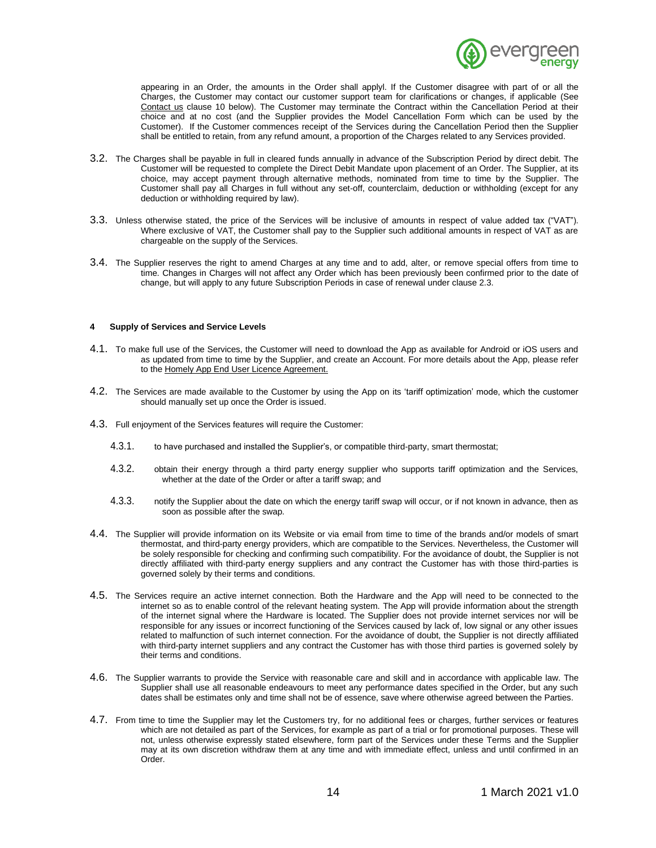

appearing in an Order, the amounts in the Order shall applyl. If the Customer disagree with part of or all the Charges, the Customer may contact our customer support team for clarifications or changes, if applicable (See Contact us clause [10](#page-16-0) below). The Customer may terminate the Contract within the Cancellation Period at their choice and at no cost (and the Supplier provides the Model Cancellation Form which can be used by the Customer). If the Customer commences receipt of the Services during the Cancellation Period then the Supplier shall be entitled to retain, from any refund amount, a proportion of the Charges related to any Services provided.

- 3.2. The Charges shall be payable in full in cleared funds annually in advance of the Subscription Period by direct debit. The Customer will be requested to complete the Direct Debit Mandate upon placement of an Order. The Supplier, at its choice, may accept payment through alternative methods, nominated from time to time by the Supplier. The Customer shall pay all Charges in full without any set-off, counterclaim, deduction or withholding (except for any deduction or withholding required by law).
- 3.3. Unless otherwise stated, the price of the Services will be inclusive of amounts in respect of value added tax ("VAT"). Where exclusive of VAT, the Customer shall pay to the Supplier such additional amounts in respect of VAT as are chargeable on the supply of the Services.
- <span id="page-13-0"></span>3.4. The Supplier reserves the right to amend Charges at any time and to add, alter, or remove special offers from time to time. Changes in Charges will not affect any Order which has been previously been confirmed prior to the date of change, but will apply to any future Subscription Periods in case of renewal under clause 2.3.

#### **4 Supply of Services and Service Levels**

- 4.1. To make full use of the Services, the Customer will need to download the App as available for Android or iOS users and as updated from time to time by the Supplier, and create an Account. For more details about the App, please refer to the Homely App End User Licence Agreement.
- 4.2. The Services are made available to the Customer by using the App on its 'tariff optimization' mode, which the customer should manually set up once the Order is issued.
- 4.3. Full enjoyment of the Services features will require the Customer:
	- 4.3.1. to have purchased and installed the Supplier's, or compatible third-party, smart thermostat;
	- 4.3.2. obtain their energy through a third party energy supplier who supports tariff optimization and the Services, whether at the date of the Order or after a tariff swap; and
	- 4.3.3. notify the Supplier about the date on which the energy tariff swap will occur, or if not known in advance, then as soon as possible after the swap.
- 4.4. The Supplier will provide information on its Website or via email from time to time of the brands and/or models of smart thermostat, and third-party energy providers, which are compatible to the Services. Nevertheless, the Customer will be solely responsible for checking and confirming such compatibility. For the avoidance of doubt, the Supplier is not directly affiliated with third-party energy suppliers and any contract the Customer has with those third-parties is governed solely by their terms and conditions.
- 4.5. The Services require an active internet connection. Both the Hardware and the App will need to be connected to the internet so as to enable control of the relevant heating system. The App will provide information about the strength of the internet signal where the Hardware is located. The Supplier does not provide internet services nor will be responsible for any issues or incorrect functioning of the Services caused by lack of, low signal or any other issues related to malfunction of such internet connection. For the avoidance of doubt, the Supplier is not directly affiliated with third-party internet suppliers and any contract the Customer has with those third parties is governed solely by their terms and conditions.
- 4.6. The Supplier warrants to provide the Service with reasonable care and skill and in accordance with applicable law. The Supplier shall use all reasonable endeavours to meet any performance dates specified in the Order, but any such dates shall be estimates only and time shall not be of essence, save where otherwise agreed between the Parties.
- 4.7. From time to time the Supplier may let the Customers try, for no additional fees or charges, further services or features which are not detailed as part of the Services, for example as part of a trial or for promotional purposes. These will not, unless otherwise expressly stated elsewhere, form part of the Services under these Terms and the Supplier may at its own discretion withdraw them at any time and with immediate effect, unless and until confirmed in an Order.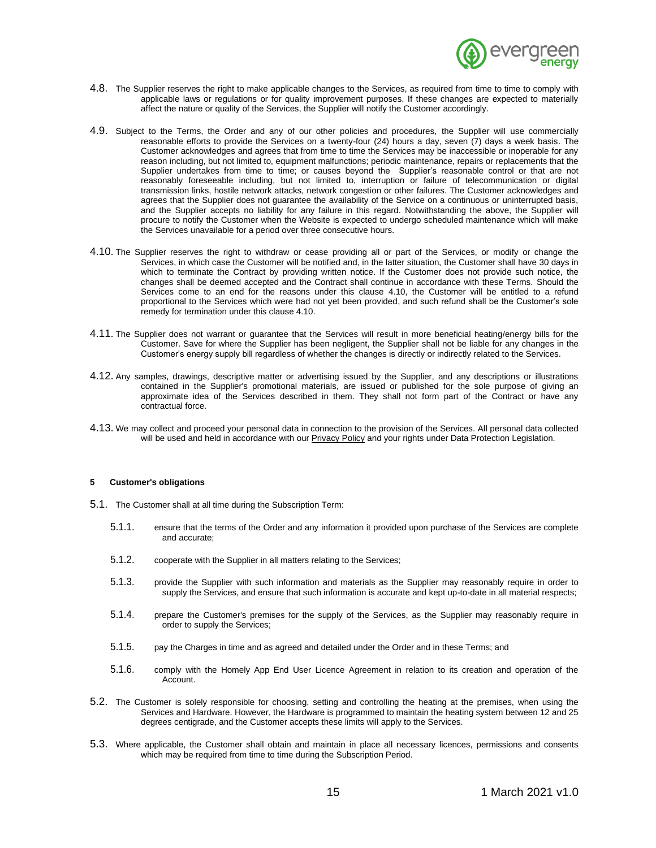

- 4.8. The Supplier reserves the right to make applicable changes to the Services, as required from time to time to comply with applicable laws or regulations or for quality improvement purposes. If these changes are expected to materially affect the nature or quality of the Services, the Supplier will notify the Customer accordingly.
- 4.9. Subject to the Terms, the Order and any of our other policies and procedures, the Supplier will use commercially reasonable efforts to provide the Services on a twenty-four (24) hours a day, seven (7) days a week basis. The Customer acknowledges and agrees that from time to time the Services may be inaccessible or inoperable for any reason including, but not limited to, equipment malfunctions; periodic maintenance, repairs or replacements that the Supplier undertakes from time to time; or causes beyond the Supplier's reasonable control or that are not reasonably foreseeable including, but not limited to, interruption or failure of telecommunication or digital transmission links, hostile network attacks, network congestion or other failures. The Customer acknowledges and agrees that the Supplier does not guarantee the availability of the Service on a continuous or uninterrupted basis, and the Supplier accepts no liability for any failure in this regard. Notwithstanding the above, the Supplier will procure to notify the Customer when the Website is expected to undergo scheduled maintenance which will make the Services unavailable for a period over three consecutive hours.
- <span id="page-14-0"></span>4.10. The Supplier reserves the right to withdraw or cease providing all or part of the Services, or modify or change the Services, in which case the Customer will be notified and, in the latter situation, the Customer shall have 30 days in which to terminate the Contract by providing written notice. If the Customer does not provide such notice, the changes shall be deemed accepted and the Contract shall continue in accordance with these Terms. Should the Services come to an end for the reasons under this clause [4.10,](#page-14-0) the Customer will be entitled to a refund proportional to the Services which were had not yet been provided, and such refund shall be the Customer's sole remedy for termination under this claus[e 4.10.](#page-14-0)
- 4.11. The Supplier does not warrant or guarantee that the Services will result in more beneficial heating/energy bills for the Customer. Save for where the Supplier has been negligent, the Supplier shall not be liable for any changes in the Customer's energy supply bill regardless of whether the changes is directly or indirectly related to the Services.
- 4.12. Any samples, drawings, descriptive matter or advertising issued by the Supplier, and any descriptions or illustrations contained in the Supplier's promotional materials, are issued or published for the sole purpose of giving an approximate idea of the Services described in them. They shall not form part of the Contract or have any contractual force.
- 4.13. We may collect and proceed your personal data in connection to the provision of the Services. All personal data collected will be used and held in accordance with our Privacy Policy and your rights under Data Protection Legislation.

#### **5 Customer's obligations**

- 5.1. The Customer shall at all time during the Subscription Term:
	- 5.1.1. ensure that the terms of the Order and any information it provided upon purchase of the Services are complete and accurate;
	- 5.1.2. cooperate with the Supplier in all matters relating to the Services;
	- 5.1.3. provide the Supplier with such information and materials as the Supplier may reasonably require in order to supply the Services, and ensure that such information is accurate and kept up-to-date in all material respects;
	- 5.1.4. prepare the Customer's premises for the supply of the Services, as the Supplier may reasonably require in order to supply the Services;
	- 5.1.5. pay the Charges in time and as agreed and detailed under the Order and in these Terms; and
	- 5.1.6. comply with the Homely App End User Licence Agreement in relation to its creation and operation of the Account.
- 5.2. The Customer is solely responsible for choosing, setting and controlling the heating at the premises, when using the Services and Hardware. However, the Hardware is programmed to maintain the heating system between 12 and 25 degrees centigrade, and the Customer accepts these limits will apply to the Services.
- 5.3. Where applicable, the Customer shall obtain and maintain in place all necessary licences, permissions and consents which may be required from time to time during the Subscription Period.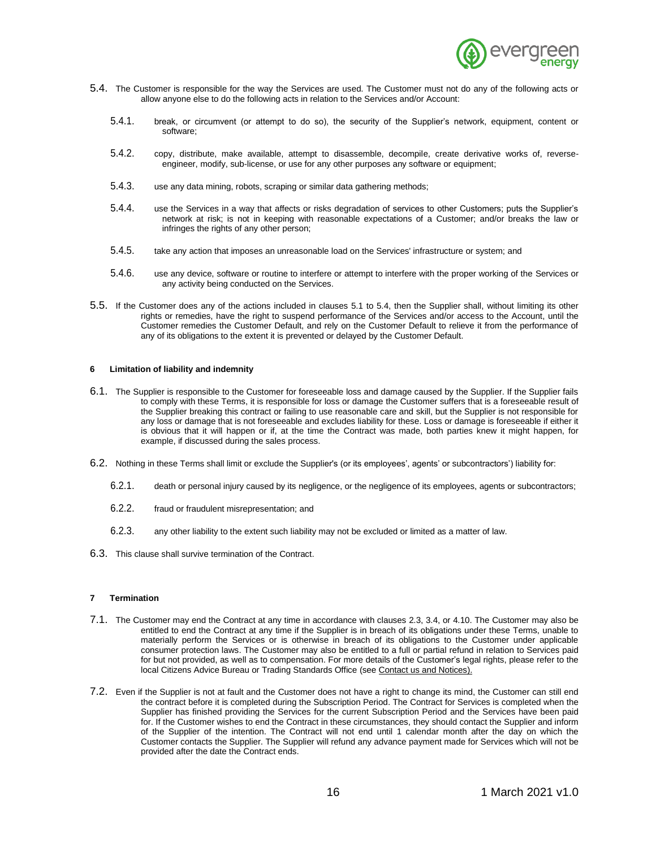

- <span id="page-15-0"></span>5.4. The Customer is responsible for the way the Services are used. The Customer must not do any of the following acts or allow anyone else to do the following acts in relation to the Services and/or Account:
	- 5.4.1. break, or circumvent (or attempt to do so), the security of the Supplier's network, equipment, content or software;
	- 5.4.2. copy, distribute, make available, attempt to disassemble, decompile, create derivative works of, reverseengineer, modify, sub-license, or use for any other purposes any software or equipment;
	- 5.4.3. use any data mining, robots, scraping or similar data gathering methods;
	- 5.4.4. use the Services in a way that affects or risks degradation of services to other Customers; puts the Supplier's network at risk; is not in keeping with reasonable expectations of a Customer; and/or breaks the law or infringes the rights of any other person;
	- 5.4.5. take any action that imposes an unreasonable load on the Services' infrastructure or system; and
	- 5.4.6. use any device, software or routine to interfere or attempt to interfere with the proper working of the Services or any activity being conducted on the Services.
- 5.5. If the Customer does any of the actions included in clauses 5.1 to [5.4,](#page-15-0) then the Supplier shall, without limiting its other rights or remedies, have the right to suspend performance of the Services and/or access to the Account, until the Customer remedies the Customer Default, and rely on the Customer Default to relieve it from the performance of any of its obligations to the extent it is prevented or delayed by the Customer Default.

# **6 Limitation of liability and indemnity**

- 6.1. The Supplier is responsible to the Customer for foreseeable loss and damage caused by the Supplier. If the Supplier fails to comply with these Terms, it is responsible for loss or damage the Customer suffers that is a foreseeable result of the Supplier breaking this contract or failing to use reasonable care and skill, but the Supplier is not responsible for any loss or damage that is not foreseeable and excludes liability for these. Loss or damage is foreseeable if either it is obvious that it will happen or if, at the time the Contract was made, both parties knew it might happen, for example, if discussed during the sales process.
- 6.2. Nothing in these Terms shall limit or exclude the Supplier's (or its employees', agents' or subcontractors') liability for:
	- 6.2.1. death or personal injury caused by its negligence, or the negligence of its employees, agents or subcontractors;
	- 6.2.2. fraud or fraudulent misrepresentation; and
	- 6.2.3. any other liability to the extent such liability may not be excluded or limited as a matter of law.
- 6.3. This clause shall survive termination of the Contract.

# **7 Termination**

- 7.1. The Customer may end the Contract at any time in accordance with clause[s 2.3,](#page-12-0) [3.4,](#page-13-0) or [4.10.](#page-14-0) The Customer may also be entitled to end the Contract at any time if the Supplier is in breach of its obligations under these Terms, unable to materially perform the Services or is otherwise in breach of its obligations to the Customer under applicable consumer protection laws. The Customer may also be entitled to a full or partial refund in relation to Services paid for but not provided, as well as to compensation. For more details of the Customer's legal rights, please refer to the local Citizens Advice Bureau or Trading Standards Office (see Contact us and Notices).
- 7.2. Even if the Supplier is not at fault and the Customer does not have a right to change its mind, the Customer can still end the contract before it is completed during the Subscription Period. The Contract for Services is completed when the Supplier has finished providing the Services for the current Subscription Period and the Services have been paid for. If the Customer wishes to end the Contract in these circumstances, they should contact the Supplier and inform of the Supplier of the intention. The Contract will not end until 1 calendar month after the day on which the Customer contacts the Supplier. The Supplier will refund any advance payment made for Services which will not be provided after the date the Contract ends.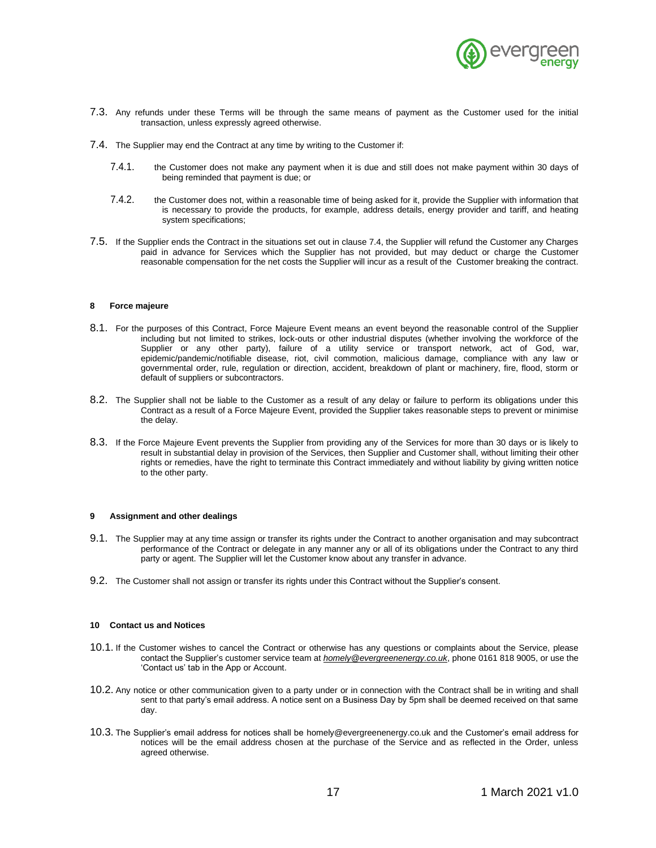

- 7.3. Any refunds under these Terms will be through the same means of payment as the Customer used for the initial transaction, unless expressly agreed otherwise.
- <span id="page-16-1"></span>7.4. The Supplier may end the Contract at any time by writing to the Customer if:
	- 7.4.1. the Customer does not make any payment when it is due and still does not make payment within 30 days of being reminded that payment is due; or
	- 7.4.2. the Customer does not, within a reasonable time of being asked for it, provide the Supplier with information that is necessary to provide the products, for example, address details, energy provider and tariff, and heating system specifications;
- 7.5. If the Supplier ends the Contract in the situations set out in [clause](#page-5-0) [7.4,](#page-16-1) the Supplier will refund the Customer any Charges paid in advance for Services which the Supplier has not provided, but may deduct or charge the Customer reasonable compensation for the net costs the Supplier will incur as a result of the Customer breaking the contract.

### **8 Force majeure**

- 8.1. For the purposes of this Contract, Force Majeure Event means an event beyond the reasonable control of the Supplier including but not limited to strikes, lock-outs or other industrial disputes (whether involving the workforce of the Supplier or any other party), failure of a utility service or transport network, act of God, war, epidemic/pandemic/notifiable disease, riot, civil commotion, malicious damage, compliance with any law or governmental order, rule, regulation or direction, accident, breakdown of plant or machinery, fire, flood, storm or default of suppliers or subcontractors.
- 8.2. The Supplier shall not be liable to the Customer as a result of any delay or failure to perform its obligations under this Contract as a result of a Force Majeure Event, provided the Supplier takes reasonable steps to prevent or minimise the delay.
- 8.3. If the Force Majeure Event prevents the Supplier from providing any of the Services for more than 30 days or is likely to result in substantial delay in provision of the Services, then Supplier and Customer shall, without limiting their other rights or remedies, have the right to terminate this Contract immediately and without liability by giving written notice to the other party.

#### **9 Assignment and other dealings**

- 9.1. The Supplier may at any time assign or transfer its rights under the Contract to another organisation and may subcontract performance of the Contract or delegate in any manner any or all of its obligations under the Contract to any third party or agent. The Supplier will let the Customer know about any transfer in advance.
- 9.2. The Customer shall not assign or transfer its rights under this Contract without the Supplier's consent.

### <span id="page-16-0"></span>**10 Contact us and Notices**

- 10.1. If the Customer wishes to cancel the Contract or otherwise has any questions or complaints about the Service, please contact the Supplier's customer service team at *[homely@evergreenenergy.co.uk](mailto:homely@evergreenenergy.co.uk)*, phone 0161 818 9005, or use the 'Contact us' tab in the App or Account.
- 10.2. Any notice or other communication given to a party under or in connection with the Contract shall be in writing and shall sent to that party's email address. A notice sent on a Business Day by 5pm shall be deemed received on that same day.
- 10.3. The Supplier's email address for notices shall be homely@evergreenenergy.co.uk and the Customer's email address for notices will be the email address chosen at the purchase of the Service and as reflected in the Order, unless agreed otherwise.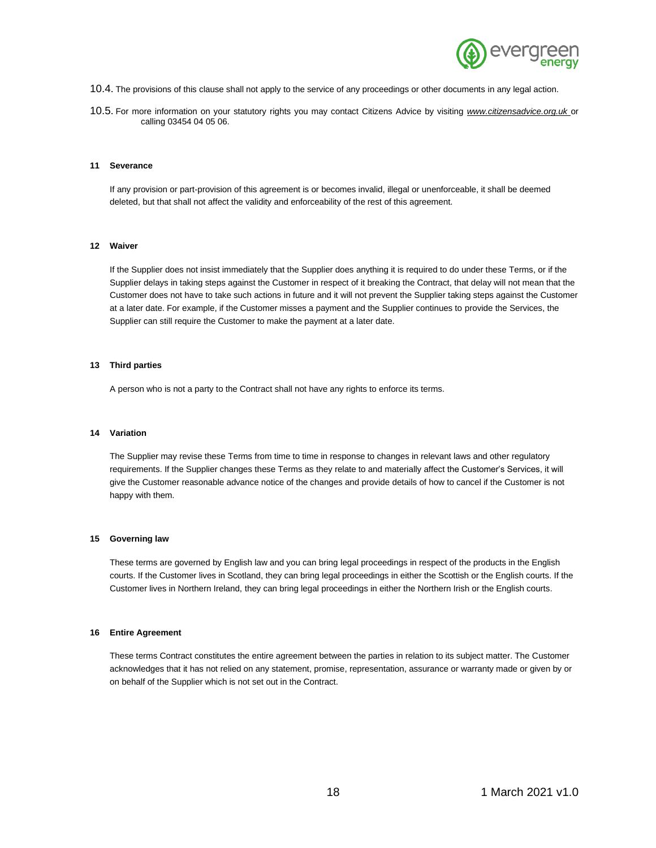

- 10.4. The provisions of this clause shall not apply to the service of any proceedings or other documents in any legal action.
- 10.5. For more information on your statutory rights you may contact Citizens Advice by visiting *[www.citizensadvice.org.uk](http://www.citizensadvice.org.uk/)* or calling 03454 04 05 06.

#### **11 Severance**

If any provision or part-provision of this agreement is or becomes invalid, illegal or unenforceable, it shall be deemed deleted, but that shall not affect the validity and enforceability of the rest of this agreement.

# **12 Waiver**

If the Supplier does not insist immediately that the Supplier does anything it is required to do under these Terms, or if the Supplier delays in taking steps against the Customer in respect of it breaking the Contract, that delay will not mean that the Customer does not have to take such actions in future and it will not prevent the Supplier taking steps against the Customer at a later date. For example, if the Customer misses a payment and the Supplier continues to provide the Services, the Supplier can still require the Customer to make the payment at a later date.

# **13 Third parties**

A person who is not a party to the Contract shall not have any rights to enforce its terms.

### **14 Variation**

The Supplier may revise these Terms from time to time in response to changes in relevant laws and other regulatory requirements. If the Supplier changes these Terms as they relate to and materially affect the Customer's Services, it will give the Customer reasonable advance notice of the changes and provide details of how to cancel if the Customer is not happy with them.

#### **15 Governing law**

These terms are governed by English law and you can bring legal proceedings in respect of the products in the English courts. If the Customer lives in Scotland, they can bring legal proceedings in either the Scottish or the English courts. If the Customer lives in Northern Ireland, they can bring legal proceedings in either the Northern Irish or the English courts.

#### **16 Entire Agreement**

These terms Contract constitutes the entire agreement between the parties in relation to its subject matter. The Customer acknowledges that it has not relied on any statement, promise, representation, assurance or warranty made or given by or on behalf of the Supplier which is not set out in the Contract.